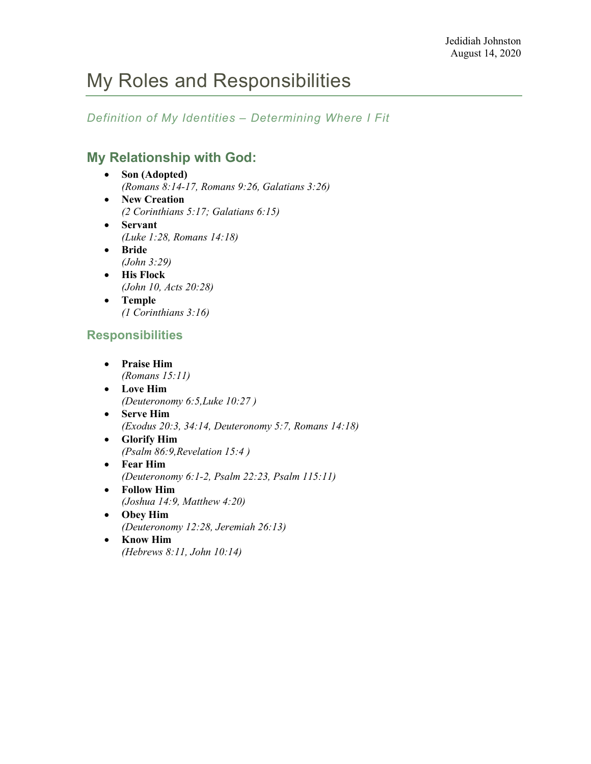*Definition of My Identities – Determining Where I Fit*

## **My Relationship with God:**

- **Son (Adopted)** *(Romans 8:14-17, Romans 9:26, Galatians 3:26)* • **New Creation**
- *(2 Corinthians 5:17; Galatians 6:15)*
- **Servant** *(Luke 1:28, Romans 14:18)*
- **Bride** *(John 3:29)*
- **His Flock** *(John 10, Acts 20:28)*
- **Temple** *(1 Corinthians 3:16)*

## **Responsibilities**

- **Praise Him** *(Romans 15:11)*
- **Love Him** *(Deuteronomy 6:5,Luke 10:27 )*
- **Serve Him** *(Exodus 20:3, 34:14, Deuteronomy 5:7, Romans 14:18)*
- **Glorify Him** *(Psalm 86:9,Revelation 15:4 )*
- **Fear Him** *(Deuteronomy 6:1-2, Psalm 22:23, Psalm 115:11)*
- **Follow Him** *(Joshua 14:9, Matthew 4:20)*
- **Obey Him** *(Deuteronomy 12:28, Jeremiah 26:13)*
- **Know Him** *(Hebrews 8:11, John 10:14)*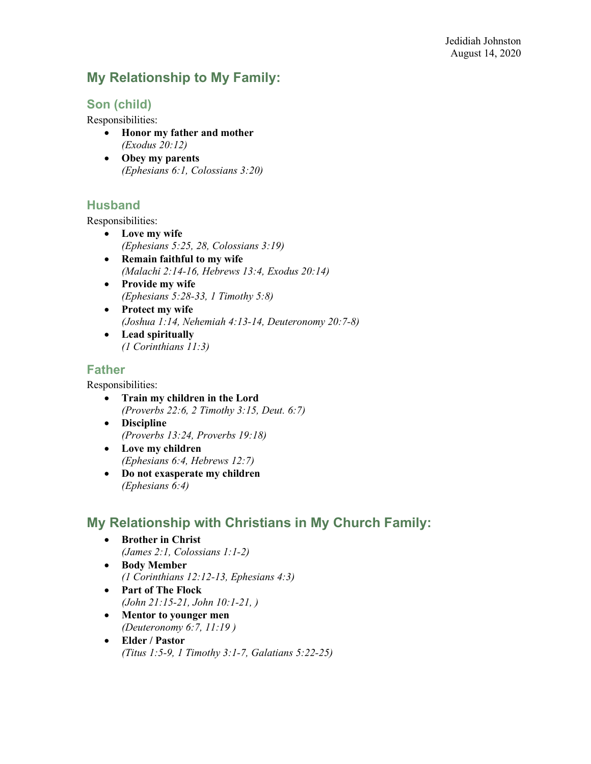## **My Relationship to My Family:**

## **Son (child)**

Responsibilities:

- **Honor my father and mother** *(Exodus 20:12)*
- **Obey my parents** *(Ephesians 6:1, Colossians 3:20)*

#### **Husband**

Responsibilities:

- **Love my wife** *(Ephesians 5:25, 28, Colossians 3:19)*
- **Remain faithful to my wife** *(Malachi 2:14-16, Hebrews 13:4, Exodus 20:14)*
- **Provide my wife** *(Ephesians 5:28-33, 1 Timothy 5:8)*
- **Protect my wife** *(Joshua 1:14, Nehemiah 4:13-14, Deuteronomy 20:7-8)*
- **Lead spiritually** *(1 Corinthians 11:3)*

#### **Father**

Responsibilities:

- **Train my children in the Lord** *(Proverbs 22:6, 2 Timothy 3:15, Deut. 6:7)*
- **Discipline** *(Proverbs 13:24, Proverbs 19:18)*
- **Love my children** *(Ephesians 6:4, Hebrews 12:7)*
- **Do not exasperate my children** *(Ephesians 6:4)*

## **My Relationship with Christians in My Church Family:**

- **Brother in Christ** *(James 2:1, Colossians 1:1-2)*
- **Body Member** *(1 Corinthians 12:12-13, Ephesians 4:3)*
- **Part of The Flock** *(John 21:15-21, John 10:1-21, )*
- **Mentor to younger men** *(Deuteronomy 6:7, 11:19 )*
- **Elder / Pastor** *(Titus 1:5-9, 1 Timothy 3:1-7, Galatians 5:22-25)*